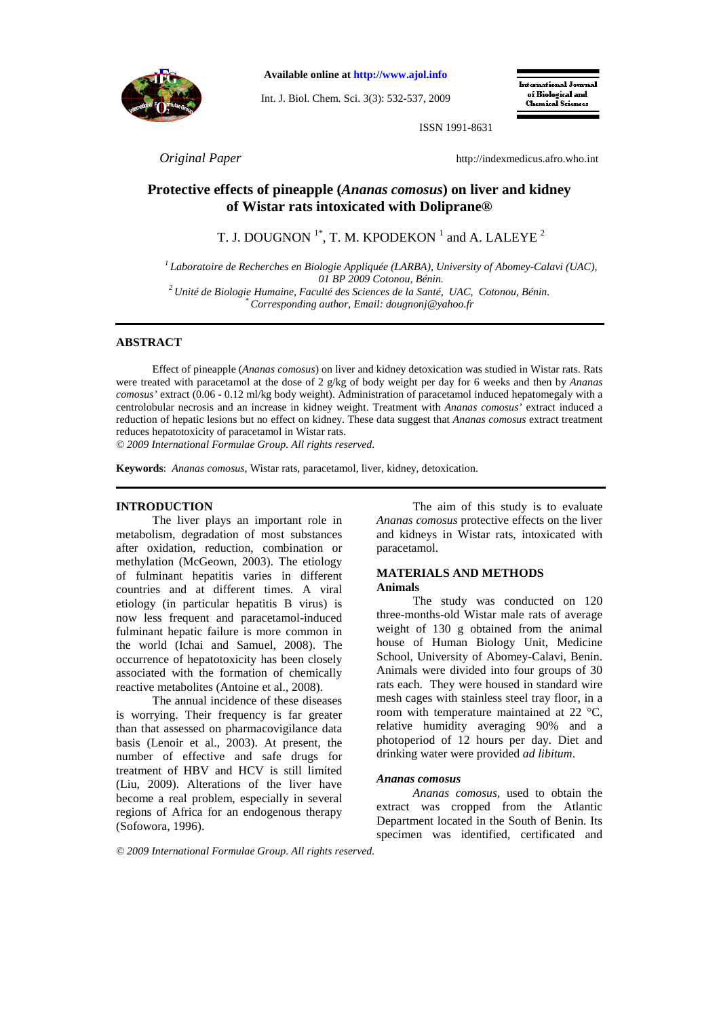

**Available online at http://www.ajol.info**

Int. J. Biol. Chem. Sci. 3(3): 532-537, 2009

International Journal of Biological and **Chamical Sciences** 

ISSN 1991-8631

*Original Paper* http://indexmedicus.afro.who.int

# **Protective effects of pineapple (***Ananas comosus***) on liver and kidney of Wistar rats intoxicated with Doliprane®**

T. J. DOUGNON  $^{1*}$ , T. M. KPODEKON  $^{1}$  and A. LALEYE  $^{2}$ 

*<sup>1</sup>Laboratoire de Recherches en Biologie Appliquée (LARBA), University of Abomey-Calavi (UAC), 01 BP 2009 Cotonou, Bénin. <sup>2</sup>Unité de Biologie Humaine, Faculté des Sciences de la Santé, UAC, Cotonou, Bénin. \* Corresponding author, Email: dougnonj@yahoo.fr* 

# **ABSTRACT**

Effect of pineapple (*Ananas comosus*) on liver and kidney detoxication was studied in Wistar rats. Rats were treated with paracetamol at the dose of 2 g/kg of body weight per day for 6 weeks and then by *Ananas comosus'* extract (0.06 - 0.12 ml/kg body weight). Administration of paracetamol induced hepatomegaly with a centrolobular necrosis and an increase in kidney weight. Treatment with *Ananas comosus'* extract induced a reduction of hepatic lesions but no effect on kidney. These data suggest that *Ananas comosus* extract treatment reduces hepatotoxicity of paracetamol in Wistar rats.

*© 2009 International Formulae Group. All rights reserved.*

**Keywords**: *Ananas comosus*, Wistar rats, paracetamol, liver, kidney, detoxication.

# **INTRODUCTION**

The liver plays an important role in metabolism, degradation of most substances after oxidation, reduction, combination or methylation (McGeown, 2003). The etiology of fulminant hepatitis varies in different countries and at different times. A viral etiology (in particular hepatitis B virus) is now less frequent and paracetamol-induced fulminant hepatic failure is more common in the world (Ichai and Samuel, 2008). The occurrence of hepatotoxicity has been closely associated with the formation of chemically reactive metabolites (Antoine et al., 2008).

The annual incidence of these diseases is worrying. Their frequency is far greater than that assessed on pharmacovigilance data basis (Lenoir et al., 2003). At present, the number of effective and safe drugs for treatment of HBV and HCV is still limited (Liu, 2009). Alterations of the liver have become a real problem, especially in several regions of Africa for an endogenous therapy (Sofowora, 1996).

The aim of this study is to evaluate *Ananas comosus* protective effects on the liver and kidneys in Wistar rats, intoxicated with paracetamol.

### **MATERIALS AND METHODS Animals**

The study was conducted on 120 three-months-old Wistar male rats of average weight of 130 g obtained from the animal house of Human Biology Unit, Medicine School, University of Abomey-Calavi, Benin. Animals were divided into four groups of 30 rats each. They were housed in standard wire mesh cages with stainless steel tray floor, in a room with temperature maintained at 22 °C, relative humidity averaging 90% and a photoperiod of 12 hours per day. Diet and drinking water were provided *ad libitum*.

### *Ananas comosus*

*Ananas comosus*, used to obtain the extract was cropped from the Atlantic Department located in the South of Benin. Its specimen was identified, certificated and

*© 2009 International Formulae Group. All rights reserved.*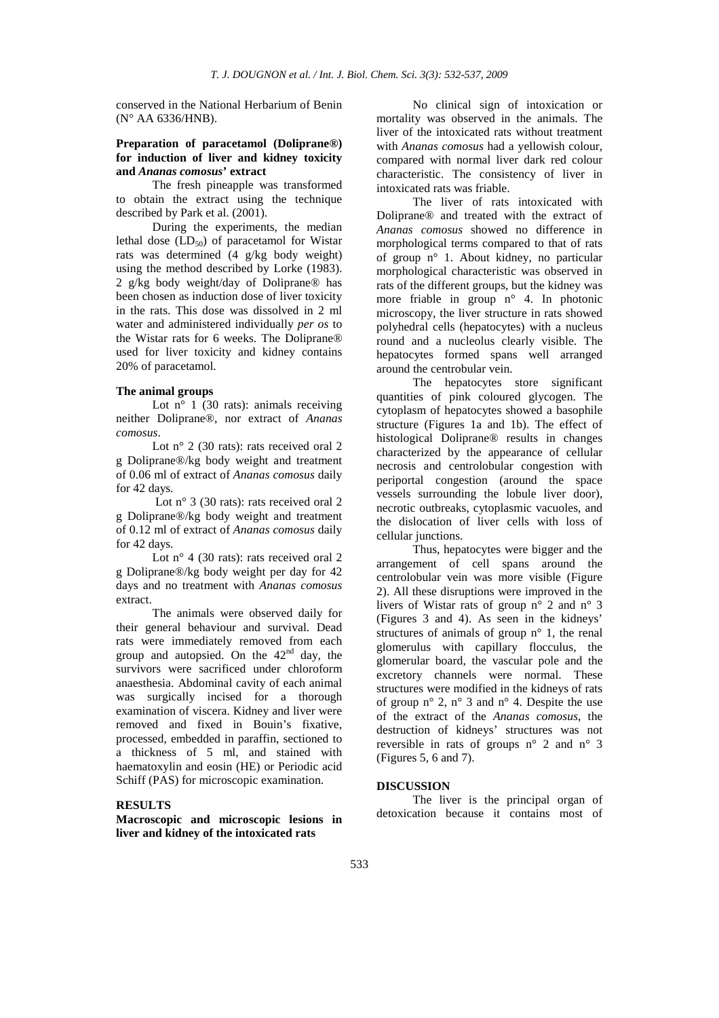conserved in the National Herbarium of Benin (N° AA 6336/HNB).

# **Preparation of paracetamol (Doliprane®) for induction of liver and kidney toxicity and** *Ananas comosus***' extract**

The fresh pineapple was transformed to obtain the extract using the technique described by Park et al. (2001).

During the experiments, the median lethal dose  $(LD_{50})$  of paracetamol for Wistar rats was determined (4 g/kg body weight) using the method described by Lorke (1983). 2 g/kg body weight/day of Doliprane® has been chosen as induction dose of liver toxicity in the rats. This dose was dissolved in 2 ml water and administered individually *per os* to the Wistar rats for 6 weeks. The Doliprane® used for liver toxicity and kidney contains 20% of paracetamol.

# **The animal groups**

Lot  $n^{\circ}$  1 (30 rats): animals receiving neither Doliprane®, nor extract of *Ananas comosus*.

Lot n° 2 (30 rats): rats received oral 2 g Doliprane®/kg body weight and treatment of 0.06 ml of extract of *Ananas comosus* daily for 42 days.

Lot n° 3 (30 rats): rats received oral 2 g Doliprane®/kg body weight and treatment of 0.12 ml of extract of *Ananas comosus* daily for 42 days.

Lot n° 4 (30 rats): rats received oral 2 g Doliprane®/kg body weight per day for 42 days and no treatment with *Ananas comosus*  extract.

The animals were observed daily for their general behaviour and survival. Dead rats were immediately removed from each group and autopsied. On the  $42<sup>nd</sup>$  day, the survivors were sacrificed under chloroform anaesthesia. Abdominal cavity of each animal was surgically incised for a thorough examination of viscera. Kidney and liver were removed and fixed in Bouin's fixative, processed, embedded in paraffin, sectioned to a thickness of 5 ml, and stained with haematoxylin and eosin (HE) or Periodic acid Schiff (PAS) for microscopic examination.

### **RESULTS**

**Macroscopic and microscopic lesions in liver and kidney of the intoxicated rats**

No clinical sign of intoxication or mortality was observed in the animals. The liver of the intoxicated rats without treatment with *Ananas comosus* had a yellowish colour, compared with normal liver dark red colour characteristic. The consistency of liver in intoxicated rats was friable.

The liver of rats intoxicated with Doliprane® and treated with the extract of *Ananas comosus* showed no difference in morphological terms compared to that of rats of group n° 1. About kidney, no particular morphological characteristic was observed in rats of the different groups, but the kidney was more friable in group  $n^{\circ}$  4. In photonic microscopy, the liver structure in rats showed polyhedral cells (hepatocytes) with a nucleus round and a nucleolus clearly visible. The hepatocytes formed spans well arranged around the centrobular vein.

The hepatocytes store significant quantities of pink coloured glycogen. The cytoplasm of hepatocytes showed a basophile structure (Figures 1a and 1b). The effect of histological Doliprane® results in changes characterized by the appearance of cellular necrosis and centrolobular congestion with periportal congestion (around the space vessels surrounding the lobule liver door), necrotic outbreaks, cytoplasmic vacuoles, and the dislocation of liver cells with loss of cellular junctions.

Thus, hepatocytes were bigger and the arrangement of cell spans around the centrolobular vein was more visible (Figure 2). All these disruptions were improved in the livers of Wistar rats of group  $n^{\circ}$  2 and  $n^{\circ}$  3 (Figures 3 and 4). As seen in the kidneys' structures of animals of group n° 1, the renal glomerulus with capillary flocculus, the glomerular board, the vascular pole and the excretory channels were normal. These structures were modified in the kidneys of rats of group  $n^{\circ}$  2,  $n^{\circ}$  3 and  $n^{\circ}$  4. Despite the use of the extract of the *Ananas comosus*, the destruction of kidneys' structures was not reversible in rats of groups n° 2 and n° 3 (Figures 5, 6 and 7).

### **DISCUSSION**

The liver is the principal organ of detoxication because it contains most of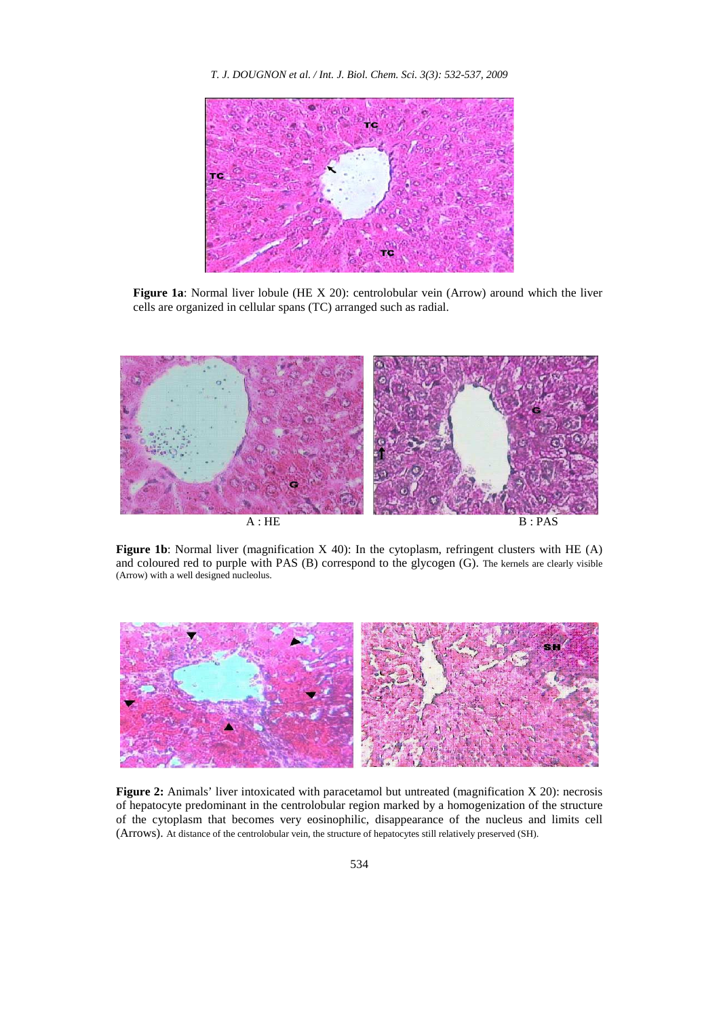*T. J. DOUGNON et al. / Int. J. Biol. Chem. Sci. 3(3): 532-537, 2009* 



Figure 1a: Normal liver lobule (HE X 20): centrolobular vein (Arrow) around which the liver cells are organized in cellular spans (TC) arranged such as radial.



**Figure 1b**: Normal liver (magnification X 40): In the cytoplasm, refringent clusters with HE (A) and coloured red to purple with PAS (B) correspond to the glycogen (G). The kernels are clearly visible (Arrow) with a well designed nucleolus.



Figure 2: Animals' liver intoxicated with paracetamol but untreated (magnification X 20): necrosis of hepatocyte predominant in the centrolobular region marked by a homogenization of the structure of the cytoplasm that becomes very eosinophilic, disappearance of the nucleus and limits cell (Arrows). At distance of the centrolobular vein, the structure of hepatocytes still relatively preserved (SH).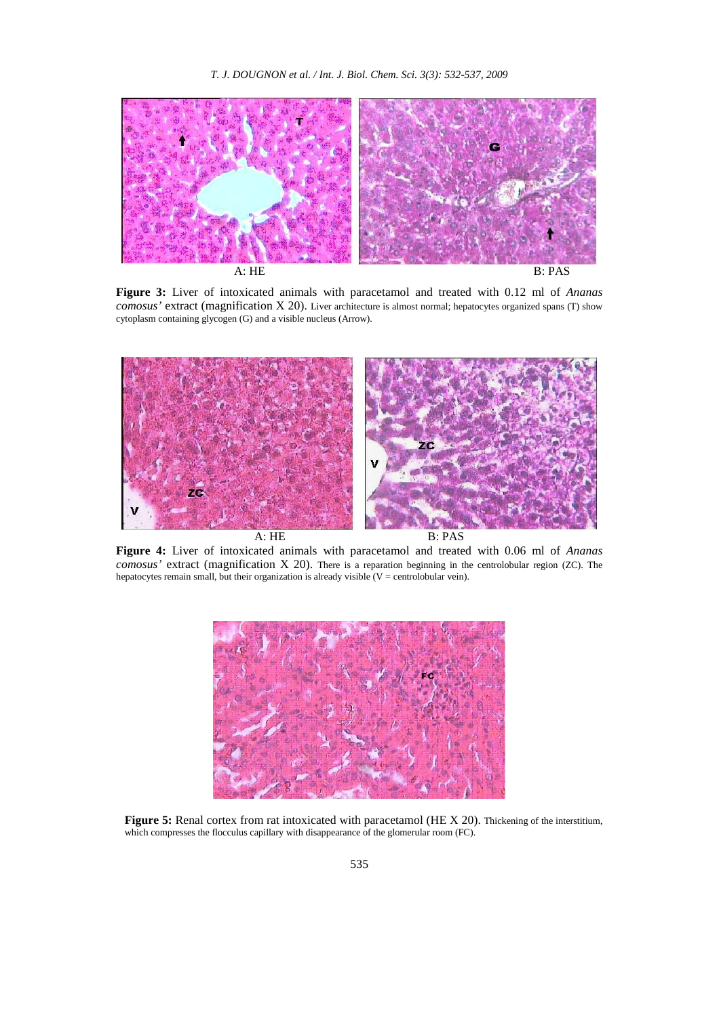

**Figure 3:** Liver of intoxicated animals with paracetamol and treated with 0.12 ml of *Ananas comosus'* extract (magnification X 20). Liver architecture is almost normal; hepatocytes organized spans (T) show cytoplasm containing glycogen (G) and a visible nucleus (Arrow).



**Figure 4:** Liver of intoxicated animals with paracetamol and treated with 0.06 ml of *Ananas comosus'* extract (magnification X 20). There is a reparation beginning in the centrolobular region (ZC). The hepatocytes remain small, but their organization is already visible  $(V =$  centrolobular vein).



**Figure 5:** Renal cortex from rat intoxicated with paracetamol (HE X 20). Thickening of the interstitium, which compresses the flocculus capillary with disappearance of the glomerular room (FC).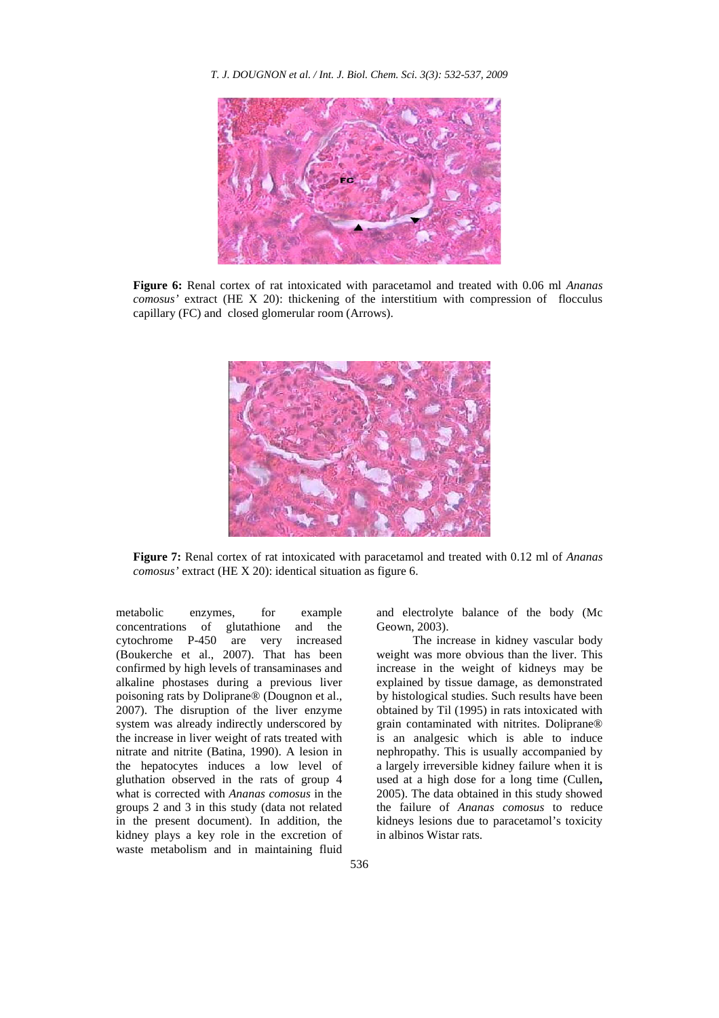*T. J. DOUGNON et al. / Int. J. Biol. Chem. Sci. 3(3): 532-537, 2009* 



**Figure 6:** Renal cortex of rat intoxicated with paracetamol and treated with 0.06 ml *Ananas comosus'* extract (HE X 20): thickening of the interstitium with compression of flocculus capillary (FC) and closed glomerular room (Arrows).



**Figure 7:** Renal cortex of rat intoxicated with paracetamol and treated with 0.12 ml of *Ananas comosus'* extract (HE X 20): identical situation as figure 6.

metabolic enzymes, for example concentrations of glutathione and the cytochrome P-450 are very increased (Boukerche et al., 2007). That has been confirmed by high levels of transaminases and alkaline phostases during a previous liver poisoning rats by Doliprane® (Dougnon et al., 2007). The disruption of the liver enzyme system was already indirectly underscored by the increase in liver weight of rats treated with nitrate and nitrite (Batina, 1990). A lesion in the hepatocytes induces a low level of gluthation observed in the rats of group 4 what is corrected with *Ananas comosus* in the groups 2 and 3 in this study (data not related in the present document). In addition, the kidney plays a key role in the excretion of waste metabolism and in maintaining fluid

and electrolyte balance of the body (Mc Geown, 2003).

The increase in kidney vascular body weight was more obvious than the liver. This increase in the weight of kidneys may be explained by tissue damage, as demonstrated by histological studies. Such results have been obtained by Til (1995) in rats intoxicated with grain contaminated with nitrites. Doliprane® is an analgesic which is able to induce nephropathy. This is usually accompanied by a largely irreversible kidney failure when it is used at a high dose for a long time (Cullen**,**  2005). The data obtained in this study showed the failure of *Ananas comosus* to reduce kidneys lesions due to paracetamol's toxicity in albinos Wistar rats.